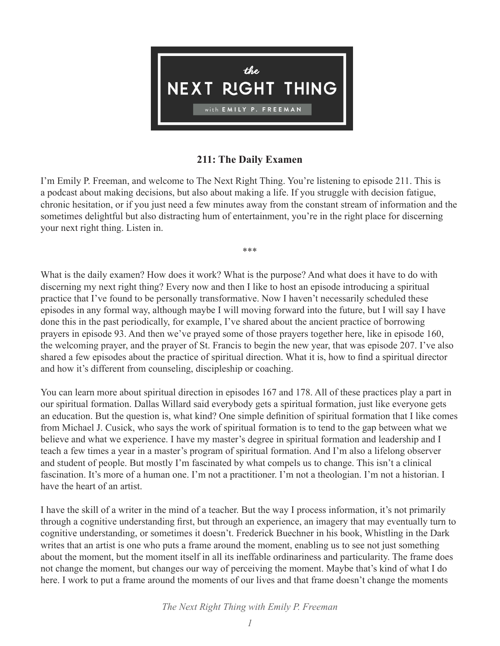

## **211: The Daily Examen**

I'm Emily P. Freeman, and welcome to The Next Right Thing. You're listening to episode 211. This is a podcast about making decisions, but also about making a life. If you struggle with decision fatigue, chronic hesitation, or if you just need a few minutes away from the constant stream of information and the sometimes delightful but also distracting hum of entertainment, you're in the right place for discerning your next right thing. Listen in.

\*\*\*

What is the daily examen? How does it work? What is the purpose? And what does it have to do with discerning my next right thing? Every now and then I like to host an episode introducing a spiritual practice that I've found to be personally transformative. Now I haven't necessarily scheduled these episodes in any formal way, although maybe I will moving forward into the future, but I will say I have done this in the past periodically, for example, I've shared about the ancient practice of borrowing prayers in episode 93. And then we've prayed some of those prayers together here, like in episode 160, the welcoming prayer, and the prayer of St. Francis to begin the new year, that was episode 207. I've also shared a few episodes about the practice of spiritual direction. What it is, how to find a spiritual director and how it's different from counseling, discipleship or coaching.

You can learn more about spiritual direction in episodes 167 and 178. All of these practices play a part in our spiritual formation. Dallas Willard said everybody gets a spiritual formation, just like everyone gets an education. But the question is, what kind? One simple definition of spiritual formation that I like comes from Michael J. Cusick, who says the work of spiritual formation is to tend to the gap between what we believe and what we experience. I have my master's degree in spiritual formation and leadership and I teach a few times a year in a master's program of spiritual formation. And I'm also a lifelong observer and student of people. But mostly I'm fascinated by what compels us to change. This isn't a clinical fascination. It's more of a human one. I'm not a practitioner. I'm not a theologian. I'm not a historian. I have the heart of an artist.

I have the skill of a writer in the mind of a teacher. But the way I process information, it's not primarily through a cognitive understanding first, but through an experience, an imagery that may eventually turn to cognitive understanding, or sometimes it doesn't. Frederick Buechner in his book, Whistling in the Dark writes that an artist is one who puts a frame around the moment, enabling us to see not just something about the moment, but the moment itself in all its ineffable ordinariness and particularity. The frame does not change the moment, but changes our way of perceiving the moment. Maybe that's kind of what I do here. I work to put a frame around the moments of our lives and that frame doesn't change the moments

*The Next Right Thing with Emily P. Freeman*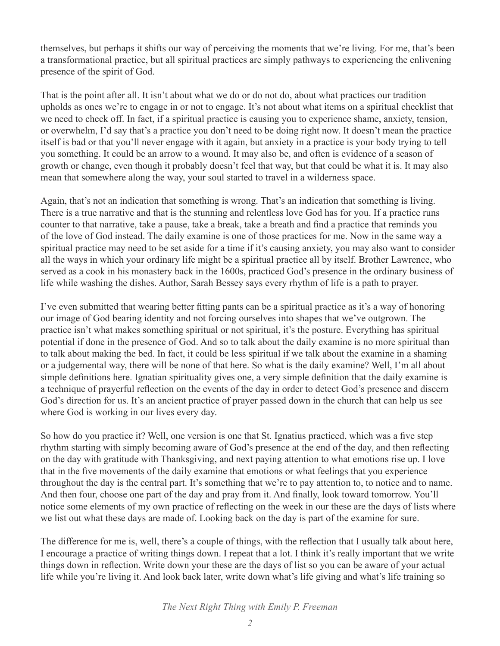themselves, but perhaps it shifts our way of perceiving the moments that we're living. For me, that's been a transformational practice, but all spiritual practices are simply pathways to experiencing the enlivening presence of the spirit of God.

That is the point after all. It isn't about what we do or do not do, about what practices our tradition upholds as ones we're to engage in or not to engage. It's not about what items on a spiritual checklist that we need to check off. In fact, if a spiritual practice is causing you to experience shame, anxiety, tension, or overwhelm, I'd say that's a practice you don't need to be doing right now. It doesn't mean the practice itself is bad or that you'll never engage with it again, but anxiety in a practice is your body trying to tell you something. It could be an arrow to a wound. It may also be, and often is evidence of a season of growth or change, even though it probably doesn't feel that way, but that could be what it is. It may also mean that somewhere along the way, your soul started to travel in a wilderness space.

Again, that's not an indication that something is wrong. That's an indication that something is living. There is a true narrative and that is the stunning and relentless love God has for you. If a practice runs counter to that narrative, take a pause, take a break, take a breath and find a practice that reminds you of the love of God instead. The daily examine is one of those practices for me. Now in the same way a spiritual practice may need to be set aside for a time if it's causing anxiety, you may also want to consider all the ways in which your ordinary life might be a spiritual practice all by itself. Brother Lawrence, who served as a cook in his monastery back in the 1600s, practiced God's presence in the ordinary business of life while washing the dishes. Author, Sarah Bessey says every rhythm of life is a path to prayer.

I've even submitted that wearing better fitting pants can be a spiritual practice as it's a way of honoring our image of God bearing identity and not forcing ourselves into shapes that we've outgrown. The practice isn't what makes something spiritual or not spiritual, it's the posture. Everything has spiritual potential if done in the presence of God. And so to talk about the daily examine is no more spiritual than to talk about making the bed. In fact, it could be less spiritual if we talk about the examine in a shaming or a judgemental way, there will be none of that here. So what is the daily examine? Well, I'm all about simple definitions here. Ignatian spirituality gives one, a very simple definition that the daily examine is a technique of prayerful reflection on the events of the day in order to detect God's presence and discern God's direction for us. It's an ancient practice of prayer passed down in the church that can help us see where God is working in our lives every day.

So how do you practice it? Well, one version is one that St. Ignatius practiced, which was a five step rhythm starting with simply becoming aware of God's presence at the end of the day, and then reflecting on the day with gratitude with Thanksgiving, and next paying attention to what emotions rise up. I love that in the five movements of the daily examine that emotions or what feelings that you experience throughout the day is the central part. It's something that we're to pay attention to, to notice and to name. And then four, choose one part of the day and pray from it. And finally, look toward tomorrow. You'll notice some elements of my own practice of reflecting on the week in our these are the days of lists where we list out what these days are made of. Looking back on the day is part of the examine for sure.

The difference for me is, well, there's a couple of things, with the reflection that I usually talk about here, I encourage a practice of writing things down. I repeat that a lot. I think it's really important that we write things down in reflection. Write down your these are the days of list so you can be aware of your actual life while you're living it. And look back later, write down what's life giving and what's life training so

*The Next Right Thing with Emily P. Freeman*